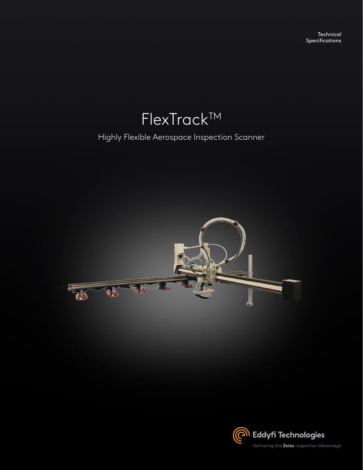**Technical** Specifications

# **FlexTrack™**

Highly Flexible Aerospace Inspection Scanner



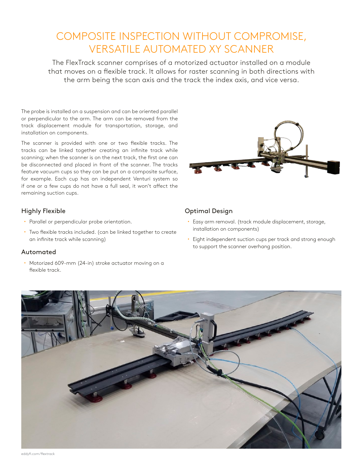### COMPOSITE INSPECTION WITHOUT COMPROMISE, VERSATILE AUTOMATED XY SCANNER

The FlexTrack scanner comprises of a motorized actuator installed on a module that moves on a flexible track. It allows for raster scanning in both directions with the arm being the scan axis and the track the index axis, and vice versa.

The probe is installed on a suspension and can be oriented parallel or perpendicular to the arm. The arm can be removed from the track displacement module for transportation, storage, and installation on components.

The scanner is provided with one or two flexible tracks. The tracks can be linked together creating an infinite track while scanning; when the scanner is on the next track, the first one can be disconnected and placed in front of the scanner. The tracks feature vacuum cups so they can be put on a composite surface, for example. Each cup has an independent Venturi system so if one or a few cups do not have a full seal, it won't affect the remaining suction cups.

#### Highly Flexible

- Parallel or perpendicular probe orientation.
- Two flexible tracks included. (can be linked together to create an infinite track while scanning)

#### Automated

• Motorized 609-mm (24-in) stroke actuator moving on a flexible track.



#### Optimal Design

- x Easy arm removal. (track module displacement, storage, installation on components)
- Eight independent suction cups per track and strong enough to support the scanner overhang position.